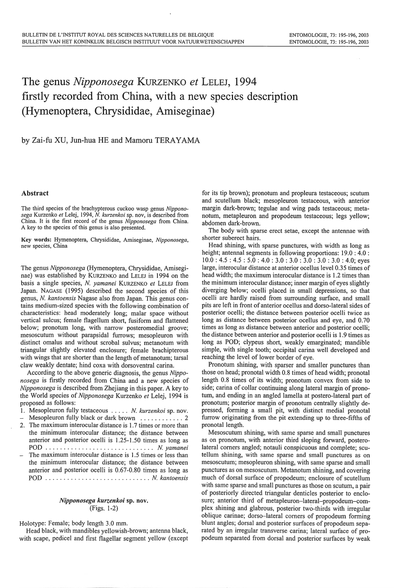## The genus *Nipponosega* KURZENKO *et* LELEJ, 1994 firstly recorded from China, with a new species description (Hymenoptera, Chrysididae, Amiseginae)

by Zai-fu XU, Jun-hua HE and Mamoru TERAYAMA

## Abstract

The third species of the brachypterous cuckoo wasp genus *Nipponosega* Kurzenko *et* Lelej, 1994, N. *kurzenkoi* sp. nov, is described from China. It is the first record of the genus *Nipponosega* from China. A key to the species of this genus is also presented.

Key words: Hymenoptera, Chrysididae, Amiseginae, *Nipponosega,*  new species, China

The genus *Nipponosega* (Hymenoptera, Chrysididae, Amiseginae) was established by KURZENKO and LELEJ in 1994 on the basis a single species, N. *yamanei* KURZENKO *et* LELEJ from Japan. NAGASE (1995) described the second species of this genus, N. *kantoensis* Nagase also from Japan. This genus contains medium-sized species with the following combination of characteristics: head moderately long; malar space without vertical sulcus; female flagellum short, fusiform and flattened below; pronotum long, with narrow posteromedial groove; mesoscutum without parapsidal furrows; mesopleuron with distinct omalus and without scrobal sulvus; metanotum with triangular slightly elevated enclosure; female brachipterous with wings that are shorter than the length of metanotum; tarsal claw weakly dentate; hind coxa with dorsoventral carina.

According to the above generic diagnosis, the genus *Nipponosega* is firstly recorded from China and a new species of *Nipponosega* is described from Zhejiang in this paper. A key to the World species of *Nipponosega* Kurzenko *et* Lelej, 1994 is proposed as follows:

- I. Mesopleuron fully testaceous ..... N. *kurzenkoi* sp. nov.
- Mesopleuron fully black or dark brown . .... .. ... . . 2 2. The maximum interocular distance is 1.7 times or more than
- the minimum interocular distance; the distance between anterior and posterior ocelli is 1.25-1.50 times as long as POD . ...... . ..... . . . ..... . . ... .... N. *yamanei*
- The maximum interocular distance is 1.5 times or less than the minimum interocular distance; the distance between anterior and posterior ocelli is 0.67-0.80 times as long as POD . . .... . .... . ........ . ..... . .. N. *kantoensis*

## *Nipponosega kurzenkoi* sp. nov. (Figs. 1 -2)

Holotype: Female; body length 3.0 mm.

Head black, with mandibles yellowish-brown; antenna black, with scape, pedicel and first flagellar segment yellow (except for its tip brown); pronotum and propleura testaceous; scutum and scutellum black; mesopleuron testaceous, with anterior margin dark-brown; tegulae and wing pads testaceous; metanotum, metapleuron and propodeum testaceous; legs yellow; abdomen dark-brown.

The body with sparse erect setae, except the antennae with shorter suberect hairs.

Head shining, with sparse punctures, with width as long as height; antennal segments in following proportions: 19.0 : 4.0 :  $10.0: 4.5: 4.5: 5.0: 4.0: 3.0: 3.0: 3.0: 3.0: 3.0: 4.0;$  eyes large, interocular distance at anterior ocellus level 0.35 times of head width; the maximum interocular distance is 1 .2 times than the minimum interocular distance; inner margin of eyes slightly diverging below; ocelli placed in small depressions, so that ocelli are hardly raised from surrounding surface, and small pits are left in front of anterior ocellus and dorso-lateral sides of posterior ocelli; the distance between posterior ocelli twice as long as distance between posterior ocellus and eye, and 0.70 times as long as distance between anterior and posterior ocelli; the distance between anterior and posterior ocelli is 1.9 times as long as POD; clypeus short, weakly emarginated; mandible simple, with single tooth; occipital carina well developed and reaching the level of lower border of eye.

Pronotum shining, with sparser and smaller punctures than those on head; pronotal width 0.8 times of head width; pronotal length 0.8 times of its width; pronotum convex from side to side; carina of collar continuing along lateral margin of pronotum, and ending in an angled lamella at postero-lateral part of pronotum; posterior margin of pronotum centrally slightly depressed, forming a small pit, with distinct medial pronotal furrow originating from the pit extending up to three-fifths of pronotal length.

Mesoscutum shining, with same sparse and small punctures as on pronotum, with anterior third sloping forward, posterolateral corners angled; notauli conspicuous and complete; scutellum shining, with same sparse and small punctures as on mesoscutum; mesopleuron shining, with same sparse and small punctures as on mesoscutum. Metanotum shining, and covering much of dorsal surface of propodeum; enclosure of scutellum with same sparse and small punctures as those on scutum, a pair of posteriorly directed triangular denticles posterior to enclosure; anterior third of metapleuron-lateral-propodeum-complex shining and glabrous, posterior two-thirds with irregular oblique carinae; dorso-lateral corners of propodeum forming blunt angles; dorsal and posterior surfaces of propodeum separated by an irregular transverse carina; lateral surface of propodeum separated from dorsal and posterior surfaces by weak